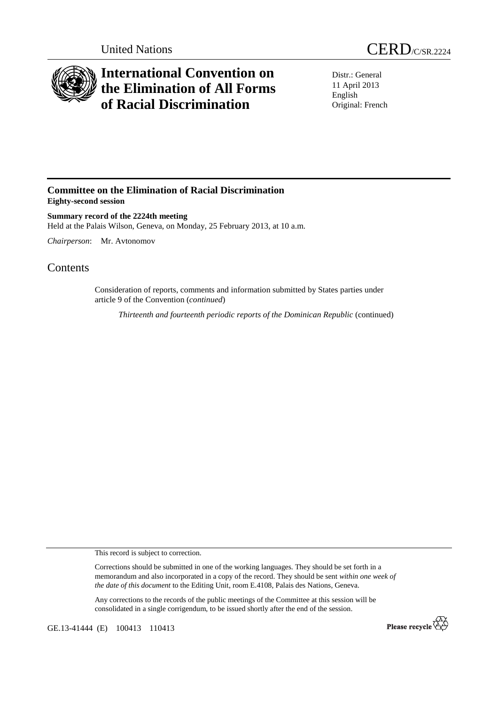



## **International Convention on the Elimination of All Forms of Racial Discrimination**

Distr.: General 11 April 2013 English Original: French

## **Committee on the Elimination of Racial Discrimination Eighty-second session**

**Summary record of the 2224th meeting**  Held at the Palais Wilson, Geneva, on Monday, 25 February 2013, at 10 a.m.

*Chairperson*: Mr. Avtonomov

## **Contents**

Consideration of reports, comments and information submitted by States parties under article 9 of the Convention (*continued*)

*Thirteenth and fourteenth periodic reports of the Dominican Republic* (continued)

This record is subject to correction.

Corrections should be submitted in one of the working languages. They should be set forth in a memorandum and also incorporated in a copy of the record. They should be sent *within one week of the date of this document* to the Editing Unit, room E.4108, Palais des Nations, Geneva.

Any corrections to the records of the public meetings of the Committee at this session will be consolidated in a single corrigendum, to be issued shortly after the end of the session.

GE.13-41444 (E) 100413 110413

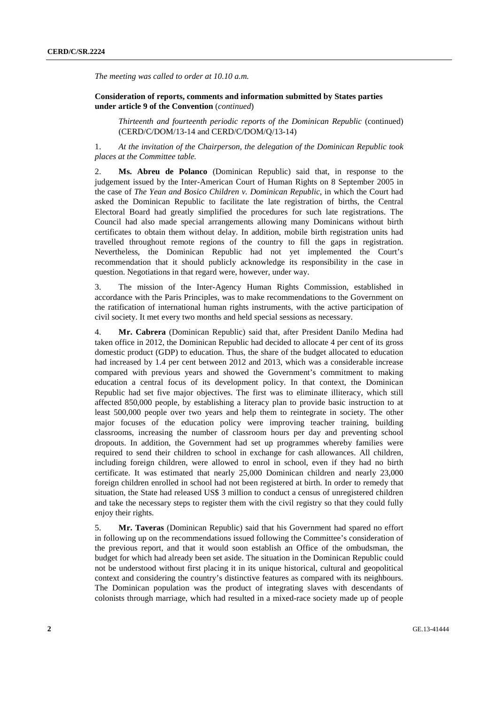*The meeting was called to order at 10.10 a.m.* 

 **Consideration of reports, comments and information submitted by States parties under article 9 of the Convention** (*continued*)

*Thirteenth and fourteenth periodic reports of the Dominican Republic* (continued) (CERD/C/DOM/13-14 and CERD/C/DOM/Q/13-14)

1. *At the invitation of the Chairperson, the delegation of the Dominican Republic took places at the Committee table.* 

2. **Ms. Abreu de Polanco** (Dominican Republic) said that, in response to the judgement issued by the Inter-American Court of Human Rights on 8 September 2005 in the case of *The Yean and Bosico Children v. Dominican Republic*, in which the Court had asked the Dominican Republic to facilitate the late registration of births, the Central Electoral Board had greatly simplified the procedures for such late registrations. The Council had also made special arrangements allowing many Dominicans without birth certificates to obtain them without delay. In addition, mobile birth registration units had travelled throughout remote regions of the country to fill the gaps in registration. Nevertheless, the Dominican Republic had not yet implemented the Court's recommendation that it should publicly acknowledge its responsibility in the case in question. Negotiations in that regard were, however, under way.

3. The mission of the Inter-Agency Human Rights Commission, established in accordance with the Paris Principles, was to make recommendations to the Government on the ratification of international human rights instruments, with the active participation of civil society. It met every two months and held special sessions as necessary.

4. **Mr. Cabrera** (Dominican Republic) said that, after President Danilo Medina had taken office in 2012, the Dominican Republic had decided to allocate 4 per cent of its gross domestic product (GDP) to education. Thus, the share of the budget allocated to education had increased by 1.4 per cent between 2012 and 2013, which was a considerable increase compared with previous years and showed the Government's commitment to making education a central focus of its development policy. In that context, the Dominican Republic had set five major objectives. The first was to eliminate illiteracy, which still affected 850,000 people, by establishing a literacy plan to provide basic instruction to at least 500,000 people over two years and help them to reintegrate in society. The other major focuses of the education policy were improving teacher training, building classrooms, increasing the number of classroom hours per day and preventing school dropouts. In addition, the Government had set up programmes whereby families were required to send their children to school in exchange for cash allowances. All children, including foreign children, were allowed to enrol in school, even if they had no birth certificate. It was estimated that nearly 25,000 Dominican children and nearly 23,000 foreign children enrolled in school had not been registered at birth. In order to remedy that situation, the State had released US\$ 3 million to conduct a census of unregistered children and take the necessary steps to register them with the civil registry so that they could fully enjoy their rights.

5. **Mr. Taveras** (Dominican Republic) said that his Government had spared no effort in following up on the recommendations issued following the Committee's consideration of the previous report, and that it would soon establish an Office of the ombudsman, the budget for which had already been set aside. The situation in the Dominican Republic could not be understood without first placing it in its unique historical, cultural and geopolitical context and considering the country's distinctive features as compared with its neighbours. The Dominican population was the product of integrating slaves with descendants of colonists through marriage, which had resulted in a mixed-race society made up of people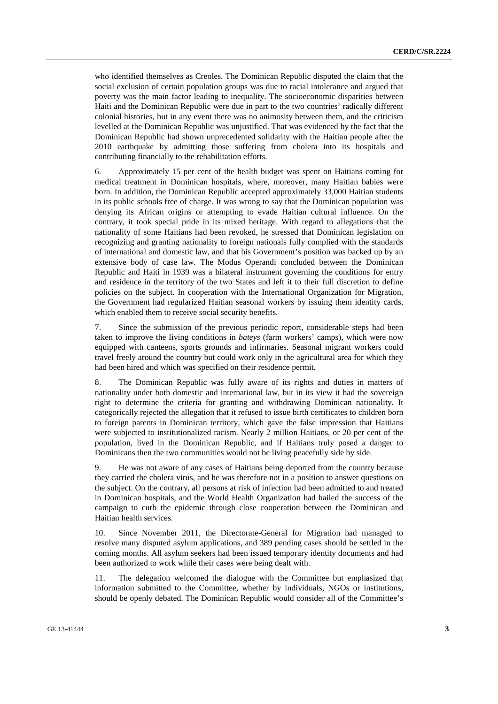who identified themselves as Creoles. The Dominican Republic disputed the claim that the social exclusion of certain population groups was due to racial intolerance and argued that poverty was the main factor leading to inequality. The socioeconomic disparities between Haiti and the Dominican Republic were due in part to the two countries' radically different colonial histories, but in any event there was no animosity between them, and the criticism levelled at the Dominican Republic was unjustified. That was evidenced by the fact that the Dominican Republic had shown unprecedented solidarity with the Haitian people after the 2010 earthquake by admitting those suffering from cholera into its hospitals and contributing financially to the rehabilitation efforts.

6. Approximately 15 per cent of the health budget was spent on Haitians coming for medical treatment in Dominican hospitals, where, moreover, many Haitian babies were born. In addition, the Dominican Republic accepted approximately 33,000 Haitian students in its public schools free of charge. It was wrong to say that the Dominican population was denying its African origins or attempting to evade Haitian cultural influence. On the contrary, it took special pride in its mixed heritage. With regard to allegations that the nationality of some Haitians had been revoked, he stressed that Dominican legislation on recognizing and granting nationality to foreign nationals fully complied with the standards of international and domestic law, and that his Government's position was backed up by an extensive body of case law. The Modus Operandi concluded between the Dominican Republic and Haiti in 1939 was a bilateral instrument governing the conditions for entry and residence in the territory of the two States and left it to their full discretion to define policies on the subject. In cooperation with the International Organization for Migration, the Government had regularized Haitian seasonal workers by issuing them identity cards, which enabled them to receive social security benefits.

7. Since the submission of the previous periodic report, considerable steps had been taken to improve the living conditions in *bateys* (farm workers' camps), which were now equipped with canteens, sports grounds and infirmaries. Seasonal migrant workers could travel freely around the country but could work only in the agricultural area for which they had been hired and which was specified on their residence permit.

8. The Dominican Republic was fully aware of its rights and duties in matters of nationality under both domestic and international law, but in its view it had the sovereign right to determine the criteria for granting and withdrawing Dominican nationality. It categorically rejected the allegation that it refused to issue birth certificates to children born to foreign parents in Dominican territory, which gave the false impression that Haitians were subjected to institutionalized racism. Nearly 2 million Haitians, or 20 per cent of the population, lived in the Dominican Republic, and if Haitians truly posed a danger to Dominicans then the two communities would not be living peacefully side by side.

9. He was not aware of any cases of Haitians being deported from the country because they carried the cholera virus, and he was therefore not in a position to answer questions on the subject. On the contrary, all persons at risk of infection had been admitted to and treated in Dominican hospitals, and the World Health Organization had hailed the success of the campaign to curb the epidemic through close cooperation between the Dominican and Haitian health services.

10. Since November 2011, the Directorate-General for Migration had managed to resolve many disputed asylum applications, and 389 pending cases should be settled in the coming months. All asylum seekers had been issued temporary identity documents and had been authorized to work while their cases were being dealt with.

11. The delegation welcomed the dialogue with the Committee but emphasized that information submitted to the Committee, whether by individuals, NGOs or institutions, should be openly debated. The Dominican Republic would consider all of the Committee's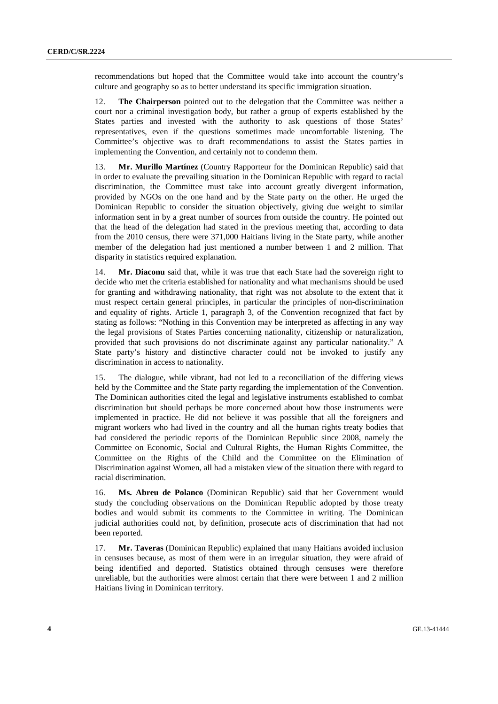recommendations but hoped that the Committee would take into account the country's culture and geography so as to better understand its specific immigration situation.

12. **The Chairperson** pointed out to the delegation that the Committee was neither a court nor a criminal investigation body, but rather a group of experts established by the States parties and invested with the authority to ask questions of those States' representatives, even if the questions sometimes made uncomfortable listening. The Committee's objective was to draft recommendations to assist the States parties in implementing the Convention, and certainly not to condemn them.

13. **Mr. Murillo Martínez** (Country Rapporteur for the Dominican Republic) said that in order to evaluate the prevailing situation in the Dominican Republic with regard to racial discrimination, the Committee must take into account greatly divergent information, provided by NGOs on the one hand and by the State party on the other. He urged the Dominican Republic to consider the situation objectively, giving due weight to similar information sent in by a great number of sources from outside the country. He pointed out that the head of the delegation had stated in the previous meeting that, according to data from the 2010 census, there were 371,000 Haitians living in the State party, while another member of the delegation had just mentioned a number between 1 and 2 million. That disparity in statistics required explanation.

14. **Mr. Diaconu** said that, while it was true that each State had the sovereign right to decide who met the criteria established for nationality and what mechanisms should be used for granting and withdrawing nationality, that right was not absolute to the extent that it must respect certain general principles, in particular the principles of non-discrimination and equality of rights. Article 1, paragraph 3, of the Convention recognized that fact by stating as follows: "Nothing in this Convention may be interpreted as affecting in any way the legal provisions of States Parties concerning nationality, citizenship or naturalization, provided that such provisions do not discriminate against any particular nationality." A State party's history and distinctive character could not be invoked to justify any discrimination in access to nationality.

15. The dialogue, while vibrant, had not led to a reconciliation of the differing views held by the Committee and the State party regarding the implementation of the Convention. The Dominican authorities cited the legal and legislative instruments established to combat discrimination but should perhaps be more concerned about how those instruments were implemented in practice. He did not believe it was possible that all the foreigners and migrant workers who had lived in the country and all the human rights treaty bodies that had considered the periodic reports of the Dominican Republic since 2008, namely the Committee on Economic, Social and Cultural Rights, the Human Rights Committee, the Committee on the Rights of the Child and the Committee on the Elimination of Discrimination against Women, all had a mistaken view of the situation there with regard to racial discrimination.

16. **Ms. Abreu de Polanco** (Dominican Republic) said that her Government would study the concluding observations on the Dominican Republic adopted by those treaty bodies and would submit its comments to the Committee in writing. The Dominican judicial authorities could not, by definition, prosecute acts of discrimination that had not been reported.

17. **Mr. Taveras** (Dominican Republic) explained that many Haitians avoided inclusion in censuses because, as most of them were in an irregular situation, they were afraid of being identified and deported. Statistics obtained through censuses were therefore unreliable, but the authorities were almost certain that there were between 1 and 2 million Haitians living in Dominican territory.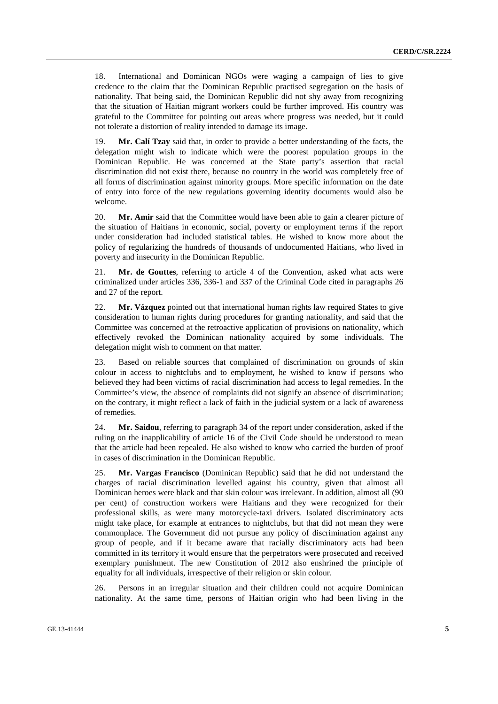18. International and Dominican NGOs were waging a campaign of lies to give credence to the claim that the Dominican Republic practised segregation on the basis of nationality. That being said, the Dominican Republic did not shy away from recognizing that the situation of Haitian migrant workers could be further improved. His country was grateful to the Committee for pointing out areas where progress was needed, but it could not tolerate a distortion of reality intended to damage its image.

19. **Mr. Calí Tzay** said that, in order to provide a better understanding of the facts, the delegation might wish to indicate which were the poorest population groups in the Dominican Republic. He was concerned at the State party's assertion that racial discrimination did not exist there, because no country in the world was completely free of all forms of discrimination against minority groups. More specific information on the date of entry into force of the new regulations governing identity documents would also be welcome.

20. **Mr. Amir** said that the Committee would have been able to gain a clearer picture of the situation of Haitians in economic, social, poverty or employment terms if the report under consideration had included statistical tables. He wished to know more about the policy of regularizing the hundreds of thousands of undocumented Haitians, who lived in poverty and insecurity in the Dominican Republic.

21. **Mr. de Gouttes**, referring to article 4 of the Convention, asked what acts were criminalized under articles 336, 336-1 and 337 of the Criminal Code cited in paragraphs 26 and 27 of the report.

22. **Mr. Vázquez** pointed out that international human rights law required States to give consideration to human rights during procedures for granting nationality, and said that the Committee was concerned at the retroactive application of provisions on nationality, which effectively revoked the Dominican nationality acquired by some individuals. The delegation might wish to comment on that matter.

23. Based on reliable sources that complained of discrimination on grounds of skin colour in access to nightclubs and to employment, he wished to know if persons who believed they had been victims of racial discrimination had access to legal remedies. In the Committee's view, the absence of complaints did not signify an absence of discrimination; on the contrary, it might reflect a lack of faith in the judicial system or a lack of awareness of remedies.

24. **Mr. Saidou**, referring to paragraph 34 of the report under consideration, asked if the ruling on the inapplicability of article 16 of the Civil Code should be understood to mean that the article had been repealed. He also wished to know who carried the burden of proof in cases of discrimination in the Dominican Republic.

25. **Mr. Vargas Francisco** (Dominican Republic) said that he did not understand the charges of racial discrimination levelled against his country, given that almost all Dominican heroes were black and that skin colour was irrelevant. In addition, almost all (90 per cent) of construction workers were Haitians and they were recognized for their professional skills, as were many motorcycle-taxi drivers. Isolated discriminatory acts might take place, for example at entrances to nightclubs, but that did not mean they were commonplace. The Government did not pursue any policy of discrimination against any group of people, and if it became aware that racially discriminatory acts had been committed in its territory it would ensure that the perpetrators were prosecuted and received exemplary punishment. The new Constitution of 2012 also enshrined the principle of equality for all individuals, irrespective of their religion or skin colour.

26. Persons in an irregular situation and their children could not acquire Dominican nationality. At the same time, persons of Haitian origin who had been living in the